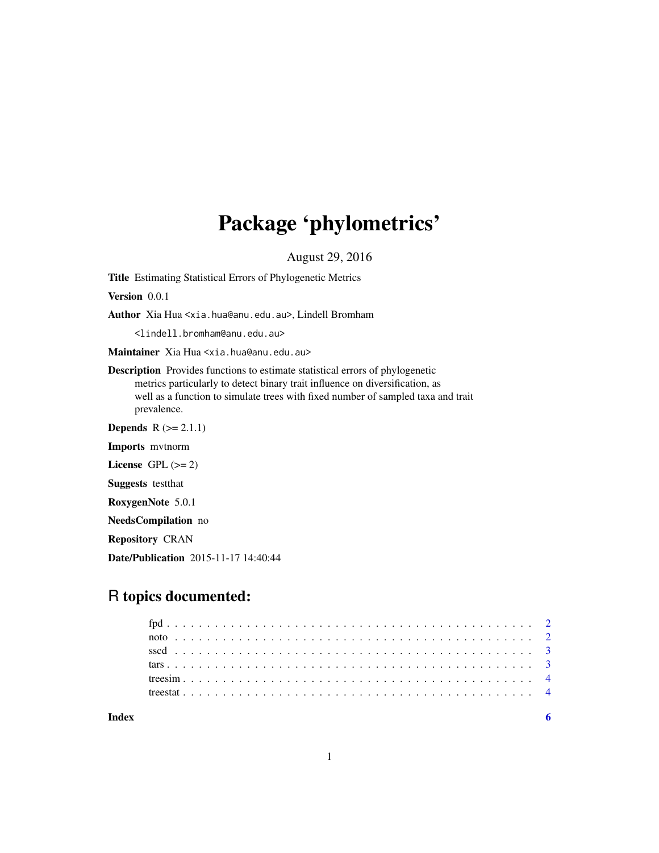# Package 'phylometrics'

August 29, 2016

Title Estimating Statistical Errors of Phylogenetic Metrics

Version 0.0.1

Author Xia Hua <xia.hua@anu.edu.au>, Lindell Bromham

<lindell.bromham@anu.edu.au>

Maintainer Xia Hua <xia.hua@anu.edu.au>

Description Provides functions to estimate statistical errors of phylogenetic metrics particularly to detect binary trait influence on diversification, as well as a function to simulate trees with fixed number of sampled taxa and trait prevalence.

**Depends**  $R (= 2.1.1)$ 

Imports mvtnorm

License GPL  $(>= 2)$ 

Suggests testthat

RoxygenNote 5.0.1

NeedsCompilation no

Repository CRAN

Date/Publication 2015-11-17 14:40:44

# R topics documented: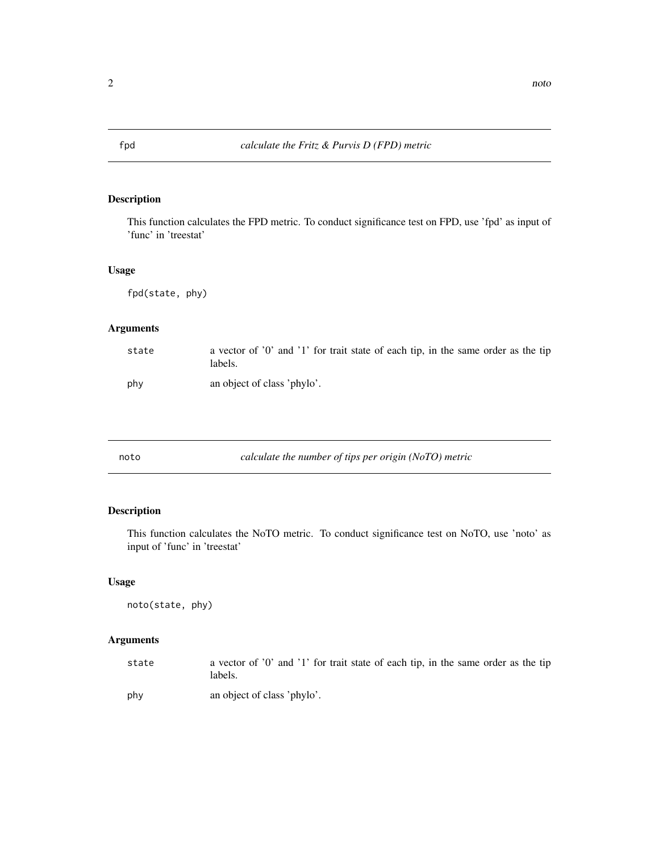<span id="page-1-0"></span>

# Description

This function calculates the FPD metric. To conduct significance test on FPD, use 'fpd' as input of 'func' in 'treestat'

# Usage

fpd(state, phy)

# Arguments

| state | a vector of '0' and '1' for trait state of each tip, in the same order as the tip<br>labels. |
|-------|----------------------------------------------------------------------------------------------|
| phy   | an object of class 'phylo'.                                                                  |

# Description

This function calculates the NoTO metric. To conduct significance test on NoTO, use 'noto' as input of 'func' in 'treestat'

### Usage

noto(state, phy)

# Arguments

| state | a vector of '0' and '1' for trait state of each tip, in the same order as the tip<br>labels. |
|-------|----------------------------------------------------------------------------------------------|
| phy   | an object of class 'phylo'.                                                                  |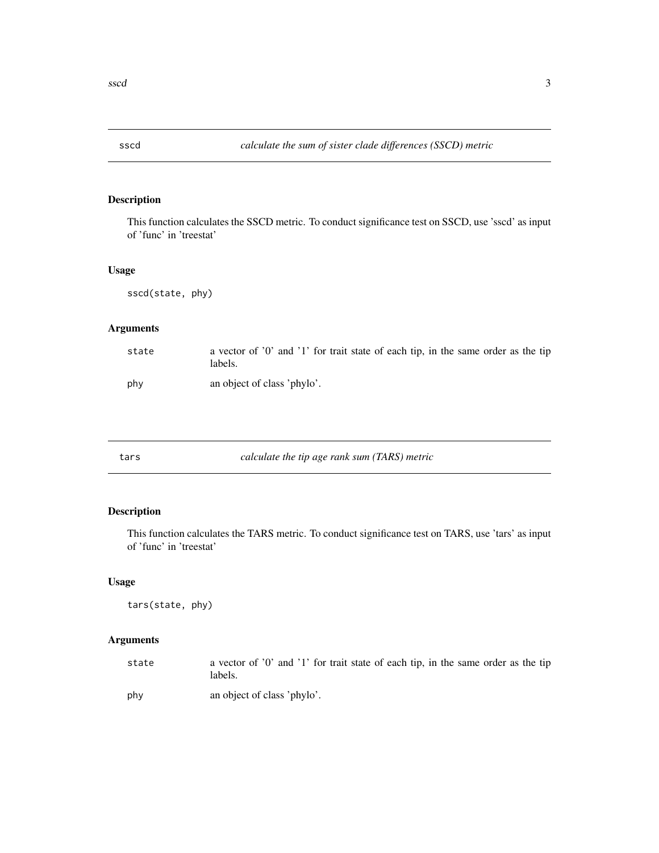<span id="page-2-0"></span>

# Description

This function calculates the SSCD metric. To conduct significance test on SSCD, use 'sscd' as input of 'func' in 'treestat'

# Usage

sscd(state, phy)

# Arguments

| state | a vector of $'0'$ and $'1'$ for trait state of each tip, in the same order as the tip<br>labels. |
|-------|--------------------------------------------------------------------------------------------------|
| phy   | an object of class 'phylo'.                                                                      |

| calculate the tip age rank sum (TARS) metric<br>tars |  |
|------------------------------------------------------|--|
|------------------------------------------------------|--|

# Description

This function calculates the TARS metric. To conduct significance test on TARS, use 'tars' as input of 'func' in 'treestat'

### Usage

tars(state, phy)

# Arguments

| state | a vector of '0' and '1' for trait state of each tip, in the same order as the tip<br>labels. |
|-------|----------------------------------------------------------------------------------------------|
| phy   | an object of class 'phylo'.                                                                  |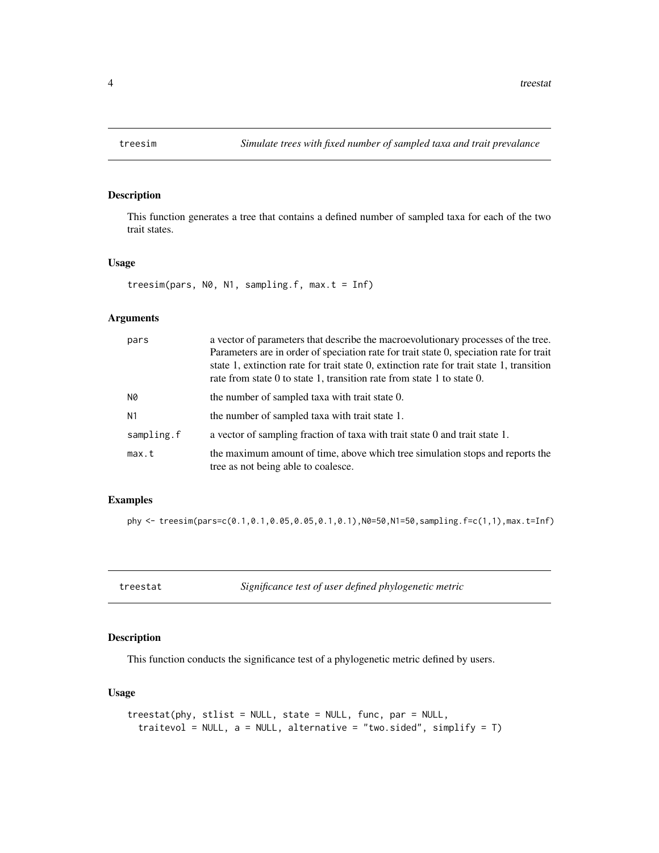<span id="page-3-0"></span>

# Description

This function generates a tree that contains a defined number of sampled taxa for each of the two trait states.

#### Usage

```
treesim(pars, N0, N1, sampling.f, max.t = Inf)
```
#### Arguments

| pars       | a vector of parameters that describe the macroevolutionary processes of the tree.<br>Parameters are in order of speciation rate for trait state 0, speciation rate for trait<br>state 1, extinction rate for trait state 0, extinction rate for trait state 1, transition<br>rate from state 0 to state 1, transition rate from state 1 to state 0. |
|------------|-----------------------------------------------------------------------------------------------------------------------------------------------------------------------------------------------------------------------------------------------------------------------------------------------------------------------------------------------------|
| N0         | the number of sampled taxa with trait state 0.                                                                                                                                                                                                                                                                                                      |
| N1         | the number of sampled taxa with trait state 1.                                                                                                                                                                                                                                                                                                      |
| sampling.f | a vector of sampling fraction of taxa with trait state 0 and trait state 1.                                                                                                                                                                                                                                                                         |
| max.t      | the maximum amount of time, above which tree simulation stops and reports the<br>tree as not being able to coalesce.                                                                                                                                                                                                                                |

### Examples

phy <- treesim(pars=c(0.1,0.1,0.05,0.05,0.1,0.1),N0=50,N1=50,sampling.f=c(1,1),max.t=Inf)

treestat *Significance test of user defined phylogenetic metric*

# Description

This function conducts the significance test of a phylogenetic metric defined by users.

## Usage

```
treestat(phy, stlist = NULL, state = NULL, func, par = NULL,
  traitevol = NULL, a = NULL, alternative = "two.sided", simplify = T)
```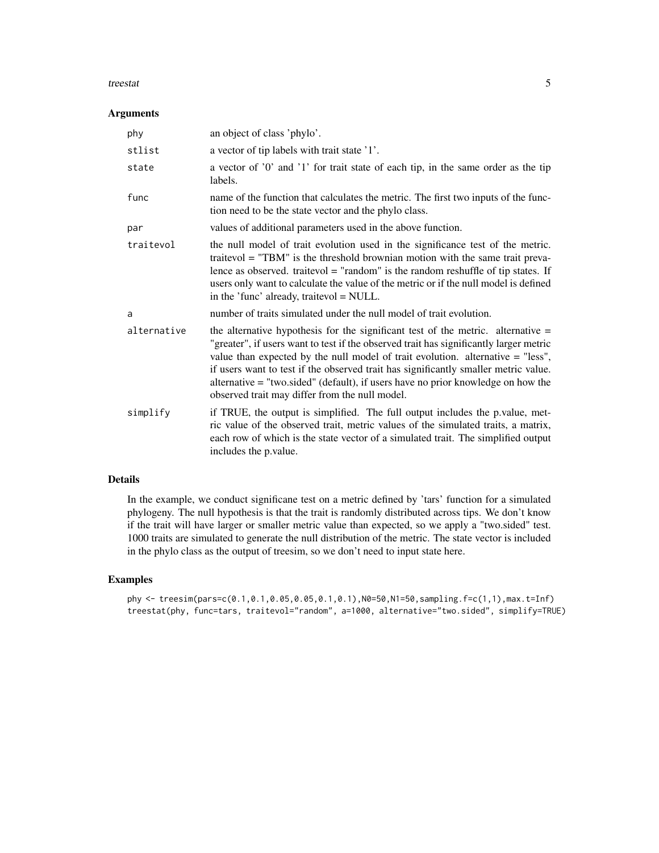#### treestat 5

#### Arguments

| phy         | an object of class 'phylo'.                                                                                                                                                                                                                                                                                                                                                                                                                                                                    |
|-------------|------------------------------------------------------------------------------------------------------------------------------------------------------------------------------------------------------------------------------------------------------------------------------------------------------------------------------------------------------------------------------------------------------------------------------------------------------------------------------------------------|
| stlist      | a vector of tip labels with trait state '1'.                                                                                                                                                                                                                                                                                                                                                                                                                                                   |
| state       | a vector of '0' and '1' for trait state of each tip, in the same order as the tip<br>labels.                                                                                                                                                                                                                                                                                                                                                                                                   |
| func        | name of the function that calculates the metric. The first two inputs of the func-<br>tion need to be the state vector and the phylo class.                                                                                                                                                                                                                                                                                                                                                    |
| par         | values of additional parameters used in the above function.                                                                                                                                                                                                                                                                                                                                                                                                                                    |
| traitevol   | the null model of trait evolution used in the significance test of the metric.<br>traitevol = "TBM" is the threshold brownian motion with the same trait preva-<br>lence as observed. traitevol $=$ "random" is the random reshuffle of tip states. If<br>users only want to calculate the value of the metric or if the null model is defined<br>in the 'func' already, traitevol = NULL.                                                                                                     |
| a           | number of traits simulated under the null model of trait evolution.                                                                                                                                                                                                                                                                                                                                                                                                                            |
| alternative | the alternative hypothesis for the significant test of the metric. alternative $=$<br>"greater", if users want to test if the observed trait has significantly larger metric<br>value than expected by the null model of trait evolution. alternative $=$ "less",<br>if users want to test if the observed trait has significantly smaller metric value.<br>alternative = "two.sided" (default), if users have no prior knowledge on how the<br>observed trait may differ from the null model. |
| simplify    | if TRUE, the output is simplified. The full output includes the p.value, met-<br>ric value of the observed trait, metric values of the simulated traits, a matrix,<br>each row of which is the state vector of a simulated trait. The simplified output<br>includes the p. value.                                                                                                                                                                                                              |

# Details

In the example, we conduct significane test on a metric defined by 'tars' function for a simulated phylogeny. The null hypothesis is that the trait is randomly distributed across tips. We don't know if the trait will have larger or smaller metric value than expected, so we apply a "two.sided" test. 1000 traits are simulated to generate the null distribution of the metric. The state vector is included in the phylo class as the output of treesim, so we don't need to input state here.

#### Examples

```
phy <- treesim(pars=c(0.1,0.1,0.05,0.05,0.1,0.1),N0=50,N1=50,sampling.f=c(1,1),max.t=Inf)
treestat(phy, func=tars, traitevol="random", a=1000, alternative="two.sided", simplify=TRUE)
```